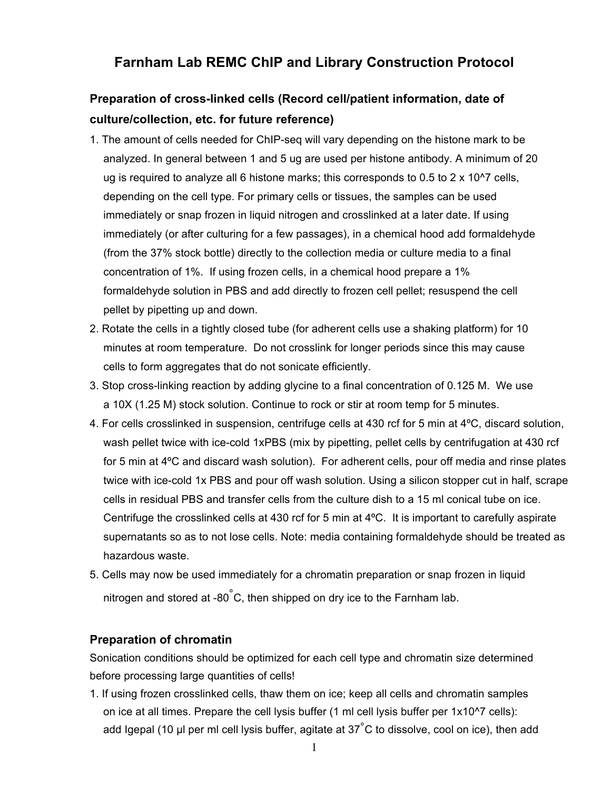# **Farnham Lab REMC ChIP and Library Construction Protocol**

# **Preparation of cross-linked cells (Record cell/patient information, date of culture/collection, etc. for future reference)**

- 1. The amount of cells needed for ChIP-seq will vary depending on the histone mark to be analyzed. In general between 1 and 5 ug are used per histone antibody. A minimum of 20 ug is required to analyze all 6 histone marks; this corresponds to 0.5 to 2 x 10^7 cells, depending on the cell type. For primary cells or tissues, the samples can be used immediately or snap frozen in liquid nitrogen and crosslinked at a later date. If using immediately (or after culturing for a few passages), in a chemical hood add formaldehyde (from the 37% stock bottle) directly to the collection media or culture media to a final concentration of 1%. If using frozen cells, in a chemical hood prepare a 1% formaldehyde solution in PBS and add directly to frozen cell pellet; resuspend the cell pellet by pipetting up and down.
- 2. Rotate the cells in a tightly closed tube (for adherent cells use a shaking platform) for 10 minutes at room temperature. Do not crosslink for longer periods since this may cause cells to form aggregates that do not sonicate efficiently.
- 3. Stop cross-linking reaction by adding glycine to a final concentration of 0.125 M. We use a 10X (1.25 M) stock solution. Continue to rock or stir at room temp for 5 minutes.
- 4. For cells crosslinked in suspension, centrifuge cells at 430 rcf for 5 min at 4ºC, discard solution, wash pellet twice with ice-cold 1xPBS (mix by pipetting, pellet cells by centrifugation at 430 rcf for 5 min at 4ºC and discard wash solution). For adherent cells, pour off media and rinse plates twice with ice-cold 1x PBS and pour off wash solution. Using a silicon stopper cut in half, scrape cells in residual PBS and transfer cells from the culture dish to a 15 ml conical tube on ice. Centrifuge the crosslinked cells at 430 rcf for 5 min at 4ºC. It is important to carefully aspirate supernatants so as to not lose cells. Note: media containing formaldehyde should be treated as hazardous waste.
- 5. Cells may now be used immediately for a chromatin preparation or snap frozen in liquid nitrogen and stored at -80 $^{\circ}$ C, then shipped on dry ice to the Farnham lab.

# **Preparation of chromatin**

Sonication conditions should be optimized for each cell type and chromatin size determined before processing large quantities of cells!

1. If using frozen crosslinked cells, thaw them on ice; keep all cells and chromatin samples on ice at all times. Prepare the cell lysis buffer (1 ml cell lysis buffer per 1x10^7 cells): add Igepal (10 µl per ml cell lysis buffer, agitate at  $37^{\circ}$ C to dissolve, cool on ice), then add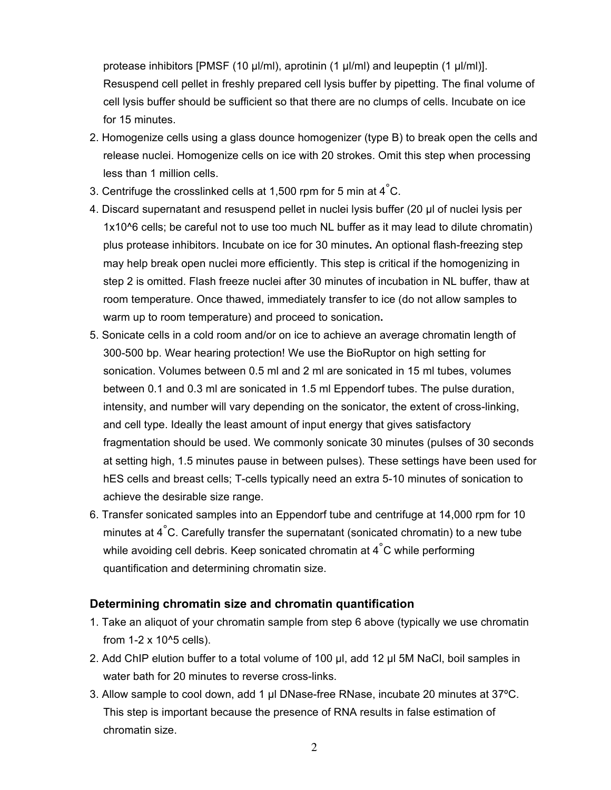protease inhibitors [PMSF (10 µl/ml), aprotinin (1 µl/ml) and leupeptin (1 µl/ml)]. Resuspend cell pellet in freshly prepared cell lysis buffer by pipetting. The final volume of cell lysis buffer should be sufficient so that there are no clumps of cells. Incubate on ice for 15 minutes.

- 2. Homogenize cells using a glass dounce homogenizer (type B) to break open the cells and release nuclei. Homogenize cells on ice with 20 strokes. Omit this step when processing less than 1 million cells.
- 3. Centrifuge the crosslinked cells at 1,500 rpm for 5 min at  $4^\circ$ C.
- 4. Discard supernatant and resuspend pellet in nuclei lysis buffer (20 µl of nuclei lysis per 1x10^6 cells; be careful not to use too much NL buffer as it may lead to dilute chromatin) plus protease inhibitors. Incubate on ice for 30 minutes**.** An optional flash-freezing step may help break open nuclei more efficiently. This step is critical if the homogenizing in step 2 is omitted. Flash freeze nuclei after 30 minutes of incubation in NL buffer, thaw at room temperature. Once thawed, immediately transfer to ice (do not allow samples to warm up to room temperature) and proceed to sonication**.**
- 5. Sonicate cells in a cold room and/or on ice to achieve an average chromatin length of 300-500 bp. Wear hearing protection! We use the BioRuptor on high setting for sonication. Volumes between 0.5 ml and 2 ml are sonicated in 15 ml tubes, volumes between 0.1 and 0.3 ml are sonicated in 1.5 ml Eppendorf tubes. The pulse duration, intensity, and number will vary depending on the sonicator, the extent of cross-linking, and cell type. Ideally the least amount of input energy that gives satisfactory fragmentation should be used. We commonly sonicate 30 minutes (pulses of 30 seconds at setting high, 1.5 minutes pause in between pulses). These settings have been used for hES cells and breast cells; T-cells typically need an extra 5-10 minutes of sonication to achieve the desirable size range.
- 6. Transfer sonicated samples into an Eppendorf tube and centrifuge at 14,000 rpm for 10 minutes at  $4^\circ$ C. Carefully transfer the supernatant (sonicated chromatin) to a new tube while avoiding cell debris. Keep sonicated chromatin at  $4^{\circ}$ C while performing quantification and determining chromatin size.

# **Determining chromatin size and chromatin quantification**

- 1. Take an aliquot of your chromatin sample from step 6 above (typically we use chromatin from  $1-2 \times 10^{6}$  cells).
- 2. Add ChIP elution buffer to a total volume of 100 µl, add 12 µl 5M NaCl, boil samples in water bath for 20 minutes to reverse cross-links.
- 3. Allow sample to cool down, add 1 µl DNase-free RNase, incubate 20 minutes at 37ºC. This step is important because the presence of RNA results in false estimation of chromatin size.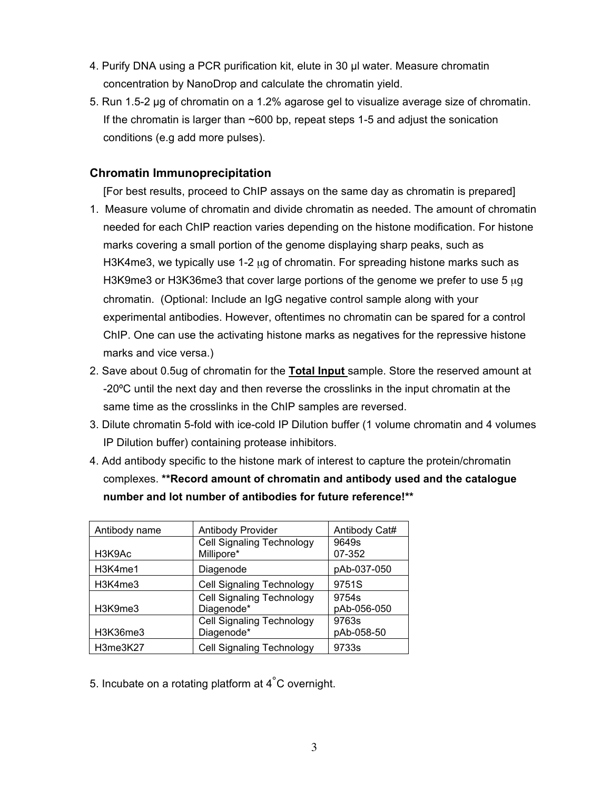- 4. Purify DNA using a PCR purification kit, elute in 30 µl water. Measure chromatin concentration by NanoDrop and calculate the chromatin yield.
- 5. Run 1.5-2 µg of chromatin on a 1.2% agarose gel to visualize average size of chromatin. If the chromatin is larger than ~600 bp, repeat steps 1-5 and adjust the sonication conditions (e.g add more pulses).

# **Chromatin Immunoprecipitation**

[For best results, proceed to ChIP assays on the same day as chromatin is prepared]

- 1. Measure volume of chromatin and divide chromatin as needed. The amount of chromatin needed for each ChIP reaction varies depending on the histone modification. For histone marks covering a small portion of the genome displaying sharp peaks, such as H3K4me3, we typically use 1-2  $\mu$ g of chromatin. For spreading histone marks such as H3K9me3 or H3K36me3 that cover large portions of the genome we prefer to use 5  $\mu$ g chromatin. (Optional: Include an IgG negative control sample along with your experimental antibodies. However, oftentimes no chromatin can be spared for a control ChIP. One can use the activating histone marks as negatives for the repressive histone marks and vice versa.)
- 2. Save about 0.5ug of chromatin for the **Total Input** sample. Store the reserved amount at -20ºC until the next day and then reverse the crosslinks in the input chromatin at the same time as the crosslinks in the ChIP samples are reversed.
- 3. Dilute chromatin 5-fold with ice-cold IP Dilution buffer (1 volume chromatin and 4 volumes IP Dilution buffer) containing protease inhibitors.
- 4. Add antibody specific to the histone mark of interest to capture the protein/chromatin complexes. **\*\*Record amount of chromatin and antibody used and the catalogue number and lot number of antibodies for future reference!\*\***

| Antibody name | <b>Antibody Provider</b>         | Antibody Cat# |
|---------------|----------------------------------|---------------|
|               | <b>Cell Signaling Technology</b> | 9649s         |
| H3K9Ac        | Millipore*                       | 07-352        |
| H3K4me1       | Diagenode                        | pAb-037-050   |
| H3K4me3       | <b>Cell Signaling Technology</b> | 9751S         |
|               | <b>Cell Signaling Technology</b> | 9754s         |
| H3K9me3       | Diagenode*                       | pAb-056-050   |
|               | <b>Cell Signaling Technology</b> | 9763s         |
| H3K36me3      | Diagenode*                       | pAb-058-50    |
| H3me3K27      | <b>Cell Signaling Technology</b> | 9733s         |

5. Incubate on a rotating platform at 4°C overnight.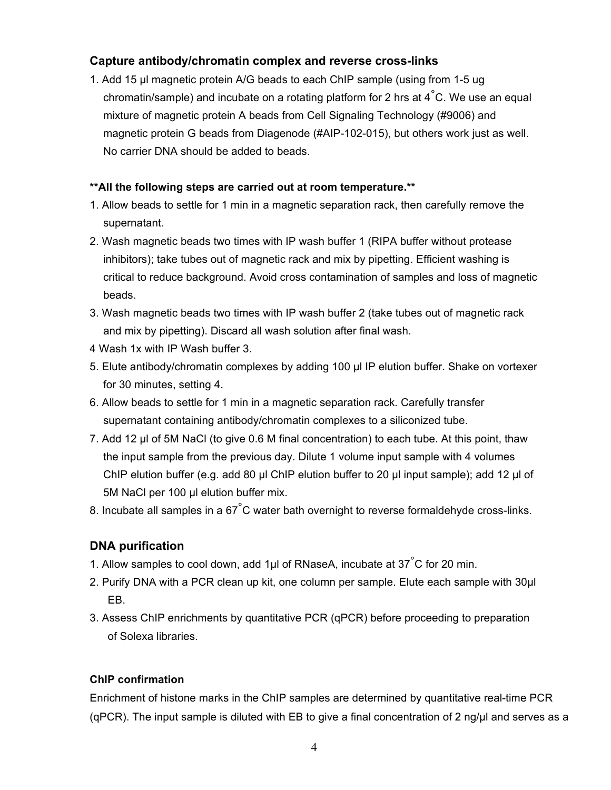# **Capture antibody/chromatin complex and reverse cross-links**

1. Add 15 µl magnetic protein A/G beads to each ChIP sample (using from 1-5 ug chromatin/sample) and incubate on a rotating platform for 2 hrs at  $4^{\circ}$ C. We use an equal mixture of magnetic protein A beads from Cell Signaling Technology (#9006) and magnetic protein G beads from Diagenode (#AIP-102-015), but others work just as well. No carrier DNA should be added to beads.

# **\*\*All the following steps are carried out at room temperature.\*\***

- 1. Allow beads to settle for 1 min in a magnetic separation rack, then carefully remove the supernatant.
- 2. Wash magnetic beads two times with IP wash buffer 1 (RIPA buffer without protease inhibitors); take tubes out of magnetic rack and mix by pipetting. Efficient washing is critical to reduce background. Avoid cross contamination of samples and loss of magnetic beads.
- 3. Wash magnetic beads two times with IP wash buffer 2 (take tubes out of magnetic rack and mix by pipetting). Discard all wash solution after final wash.
- 4 Wash 1x with IP Wash buffer 3.
- 5. Elute antibody/chromatin complexes by adding 100 µl IP elution buffer. Shake on vortexer for 30 minutes, setting 4.
- 6. Allow beads to settle for 1 min in a magnetic separation rack. Carefully transfer supernatant containing antibody/chromatin complexes to a siliconized tube.
- 7. Add 12 µl of 5M NaCl (to give 0.6 M final concentration) to each tube. At this point, thaw the input sample from the previous day. Dilute 1 volume input sample with 4 volumes ChIP elution buffer (e.g. add 80 µl ChIP elution buffer to 20 µl input sample); add 12 µl of 5M NaCl per 100 µl elution buffer mix.
- 8. Incubate all samples in a 67 $\degree$ C water bath overnight to reverse formaldehyde cross-links.

# **DNA purification**

- 1. Allow samples to cool down, add 1µl of RNaseA, incubate at  $37^{\circ}$ C for 20 min.
- 2. Purify DNA with a PCR clean up kit, one column per sample. Elute each sample with 30µl EB.
- 3. Assess ChIP enrichments by quantitative PCR (qPCR) before proceeding to preparation of Solexa libraries.

# **ChIP confirmation**

Enrichment of histone marks in the ChIP samples are determined by quantitative real-time PCR (qPCR). The input sample is diluted with EB to give a final concentration of 2 ng/µl and serves as a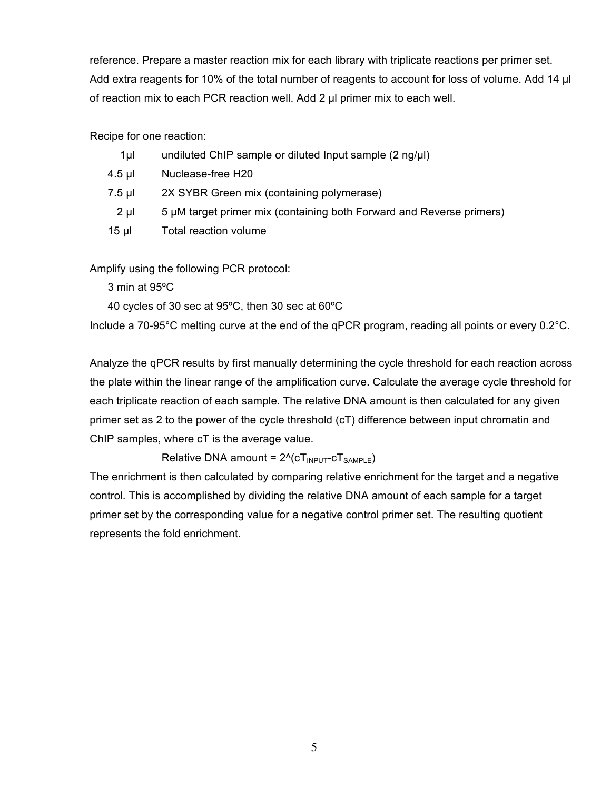reference. Prepare a master reaction mix for each library with triplicate reactions per primer set. Add extra reagents for 10% of the total number of reagents to account for loss of volume. Add 14 µl of reaction mix to each PCR reaction well. Add 2 µl primer mix to each well.

Recipe for one reaction:

| 1µI | undiluted ChIP sample or diluted Input sample (2 ng/µl) |  |
|-----|---------------------------------------------------------|--|
|     |                                                         |  |

- 4.5 µl Nuclease-free H20
- 7.5 µl 2X SYBR Green mix (containing polymerase)
- 2 µl 5 µM target primer mix (containing both Forward and Reverse primers)
- 15 µl Total reaction volume

Amplify using the following PCR protocol:

3 min at 95ºC

40 cycles of 30 sec at 95ºC, then 30 sec at 60ºC

Include a 70-95°C melting curve at the end of the qPCR program, reading all points or every 0.2°C.

Analyze the qPCR results by first manually determining the cycle threshold for each reaction across the plate within the linear range of the amplification curve. Calculate the average cycle threshold for each triplicate reaction of each sample. The relative DNA amount is then calculated for any given primer set as 2 to the power of the cycle threshold (cT) difference between input chromatin and ChIP samples, where cT is the average value.

Relative DNA amount =  $2^N$ (cT<sub>INPUT</sub>-cT<sub>SAMPLE</sub>)

The enrichment is then calculated by comparing relative enrichment for the target and a negative control. This is accomplished by dividing the relative DNA amount of each sample for a target primer set by the corresponding value for a negative control primer set. The resulting quotient represents the fold enrichment.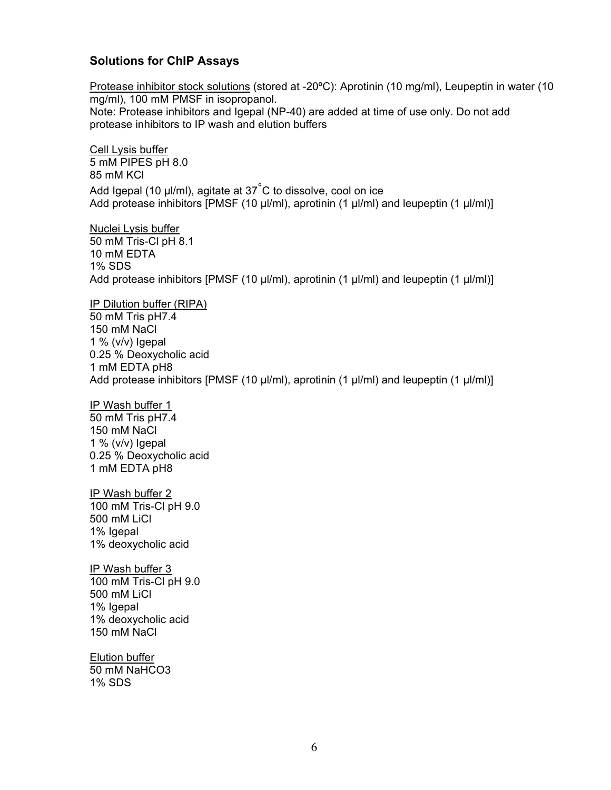#### **Solutions for ChIP Assays**

Protease inhibitor stock solutions (stored at -20ºC): Aprotinin (10 mg/ml), Leupeptin in water (10 mg/ml), 100 mM PMSF in isopropanol. Note: Protease inhibitors and Igepal (NP-40) are added at time of use only. Do not add protease inhibitors to IP wash and elution buffers

Cell Lysis buffer 5 mM PIPES pH 8.0 85 mM KCl Add Igepal (10  $\mu$ I/ml), agitate at 37 $\degree$ C to dissolve, cool on ice Add protease inhibitors [PMSF (10 µl/ml), aprotinin (1 µl/ml) and leupeptin (1 µl/ml)]

Nuclei Lysis buffer 50 mM Tris-Cl pH 8.1 10 mM EDTA 1% SDS Add protease inhibitors [PMSF (10  $\mu$ I/ml), aprotinin (1  $\mu$ I/ml) and leupeptin (1  $\mu$ I/ml)]

IP Dilution buffer (RIPA) 50 mM Tris pH7.4 150 mM NaCl 1 %  $(v/v)$  loepal 0.25 % Deoxycholic acid 1 mM EDTA pH8 Add protease inhibitors  $[PMSF (10 µ/ml)$ , aprotinin  $(1 µ/ml)$  and leupeptin  $(1 µ/ml)$ 

IP Wash buffer 1 50 mM Tris pH7.4 150 mM NaCl  $1\%$  (v/v) lgepal

0.25 % Deoxycholic acid 1 mM EDTA pH8

IP Wash buffer 2 100 mM Tris-Cl pH 9.0 500 mM LiCl 1% Igepal 1% deoxycholic acid

IP Wash buffer 3 100 mM Tris-Cl pH 9.0 500 mM LiCl 1% Igepal 1% deoxycholic acid 150 mM NaCl

Elution buffer 50 mM NaHCO3 1% SDS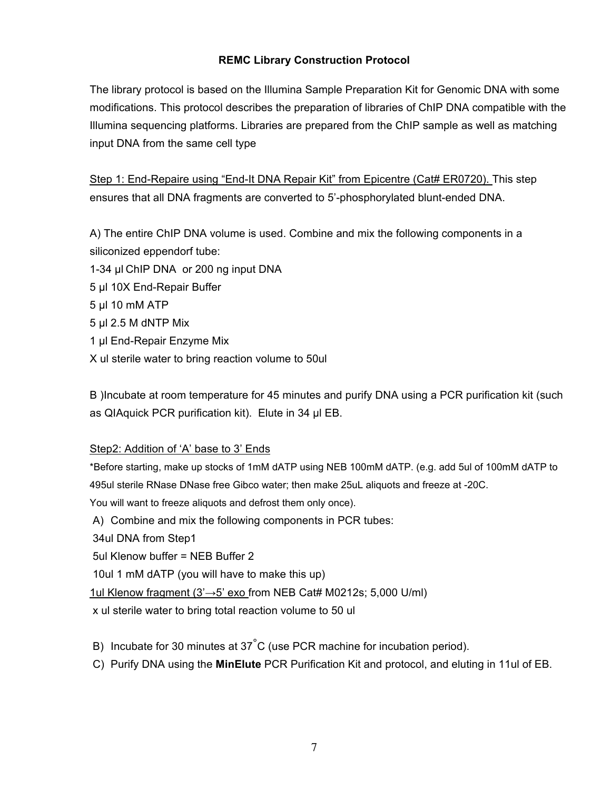# **REMC Library Construction Protocol**

The library protocol is based on the Illumina Sample Preparation Kit for Genomic DNA with some modifications. This protocol describes the preparation of libraries of ChIP DNA compatible with the Illumina sequencing platforms. Libraries are prepared from the ChIP sample as well as matching input DNA from the same cell type

Step 1: End-Repaire using "End-It DNA Repair Kit" from Epicentre (Cat# ER0720). This step ensures that all DNA fragments are converted to 5'-phosphorylated blunt-ended DNA.

A) The entire ChIP DNA volume is used. Combine and mix the following components in a siliconized eppendorf tube:

- 1-34 µl ChIP DNA or 200 ng input DNA
- 5 µl 10X End-Repair Buffer
- 5 µl 10 mM ATP
- 5 µl 2.5 M dNTP Mix
- 1 µl End-Repair Enzyme Mix
- X ul sterile water to bring reaction volume to 50ul

B )Incubate at room temperature for 45 minutes and purify DNA using a PCR purification kit (such as QIAquick PCR purification kit). Elute in 34 µl EB.

# Step2: Addition of 'A' base to 3' Ends

\*Before starting, make up stocks of 1mM dATP using NEB 100mM dATP. (e.g. add 5ul of 100mM dATP to 495ul sterile RNase DNase free Gibco water; then make 25uL aliquots and freeze at -20C.

You will want to freeze aliquots and defrost them only once).

A) Combine and mix the following components in PCR tubes:

34ul DNA from Step1

5ul Klenow buffer = NEB Buffer 2

10ul 1 mM dATP (you will have to make this up)

1ul Klenow fragment (3'→5' exo from NEB Cat# M0212s; 5,000 U/ml)

x ul sterile water to bring total reaction volume to 50 ul

B) Incubate for 30 minutes at 37°C (use PCR machine for incubation period).

C) Purify DNA using the **MinElute** PCR Purification Kit and protocol, and eluting in 11ul of EB.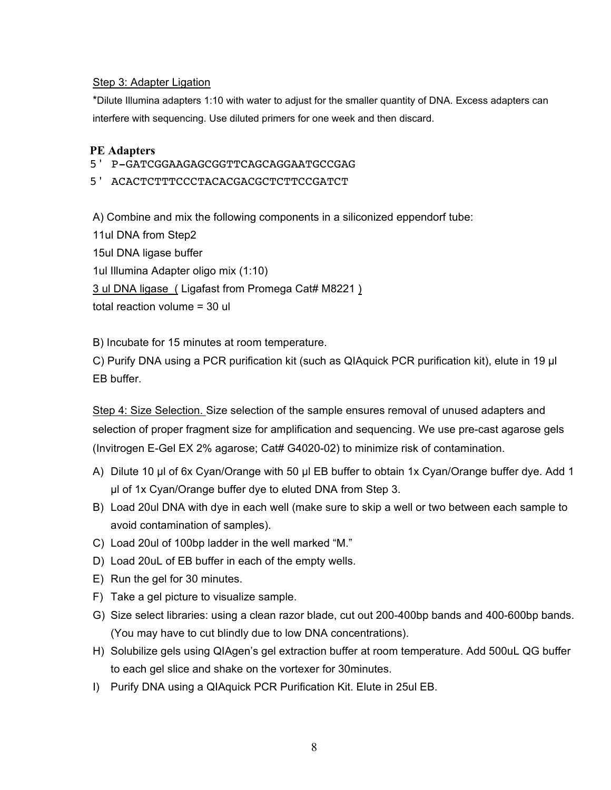#### Step 3: Adapter Ligation

\*Dilute Illumina adapters 1:10 with water to adjust for the smaller quantity of DNA. Excess adapters can interfere with sequencing. Use diluted primers for one week and then discard.

#### **PE Adapters**

5' P-GATCGGAAGAGCGGTTCAGCAGGAATGCCGAG

5' ACACTCTTTCCCTACACGACGCTCTTCCGATCT

A) Combine and mix the following components in a siliconized eppendorf tube:

11ul DNA from Step2 15ul DNA ligase buffer 1ul Illumina Adapter oligo mix (1:10) 3 ul DNA ligase\_( Ligafast from Promega Cat# M8221 ) total reaction volume = 30 ul

B) Incubate for 15 minutes at room temperature.

C) Purify DNA using a PCR purification kit (such as QIAquick PCR purification kit), elute in 19 µl EB buffer.

Step 4: Size Selection. Size selection of the sample ensures removal of unused adapters and selection of proper fragment size for amplification and sequencing. We use pre-cast agarose gels (Invitrogen E-Gel EX 2% agarose; Cat# G4020-02) to minimize risk of contamination.

- A) Dilute 10 µl of 6x Cyan/Orange with 50 µl EB buffer to obtain 1x Cyan/Orange buffer dye. Add 1 µl of 1x Cyan/Orange buffer dye to eluted DNA from Step 3.
- B) Load 20ul DNA with dye in each well (make sure to skip a well or two between each sample to avoid contamination of samples).
- C) Load 20ul of 100bp ladder in the well marked "M."
- D) Load 20uL of EB buffer in each of the empty wells.
- E) Run the gel for 30 minutes.
- F) Take a gel picture to visualize sample.
- G) Size select libraries: using a clean razor blade, cut out 200-400bp bands and 400-600bp bands. (You may have to cut blindly due to low DNA concentrations).
- H) Solubilize gels using QIAgen's gel extraction buffer at room temperature. Add 500uL QG buffer to each gel slice and shake on the vortexer for 30minutes.
- I) Purify DNA using a QIAquick PCR Purification Kit. Elute in 25ul EB.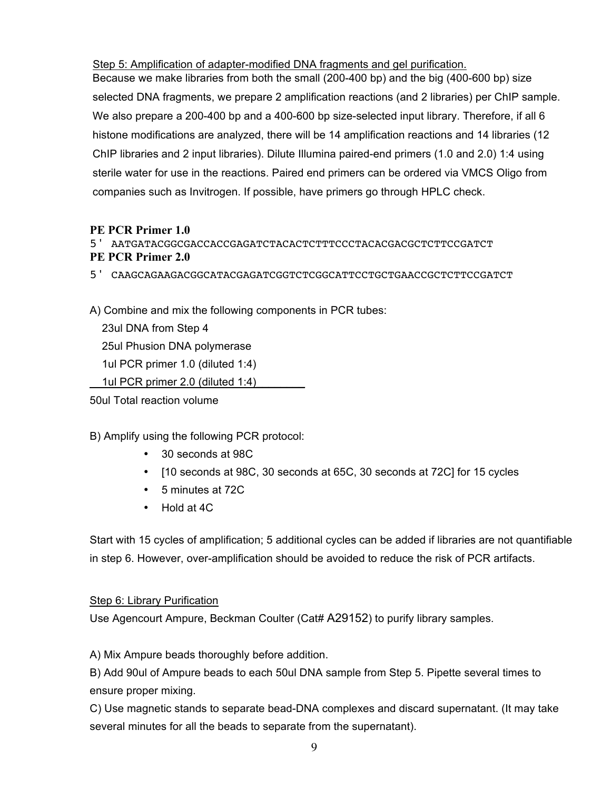Step 5: Amplification of adapter-modified DNA fragments and gel purification.

Because we make libraries from both the small (200-400 bp) and the big (400-600 bp) size selected DNA fragments, we prepare 2 amplification reactions (and 2 libraries) per ChIP sample. We also prepare a 200-400 bp and a 400-600 bp size-selected input library. Therefore, if all 6 histone modifications are analyzed, there will be 14 amplification reactions and 14 libraries (12 ChIP libraries and 2 input libraries). Dilute Illumina paired-end primers (1.0 and 2.0) 1:4 using sterile water for use in the reactions. Paired end primers can be ordered via VMCS Oligo from companies such as Invitrogen. If possible, have primers go through HPLC check.

#### **PE PCR Primer 1.0**

5' AATGATACGGCGACCACCGAGATCTACACTCTTTCCCTACACGACGCTCTTCCGATCT

# **PE PCR Primer 2.0**

5' CAAGCAGAAGACGGCATACGAGATCGGTCTCGGCATTCCTGCTGAACCGCTCTTCCGATCT

A) Combine and mix the following components in PCR tubes:

 23ul DNA from Step 4 25ul Phusion DNA polymerase 1ul PCR primer 1.0 (diluted 1:4) 1ul PCR primer 2.0 (diluted 1:4)

50ul Total reaction volume

B) Amplify using the following PCR protocol:

- 30 seconds at 98C
- [10 seconds at 98C, 30 seconds at 65C, 30 seconds at 72C] for 15 cycles
- 5 minutes at 72C
- Hold at 4C

Start with 15 cycles of amplification; 5 additional cycles can be added if libraries are not quantifiable in step 6. However, over-amplification should be avoided to reduce the risk of PCR artifacts.

# Step 6: Library Purification

Use Agencourt Ampure, Beckman Coulter (Cat# A29152) to purify library samples.

A) Mix Ampure beads thoroughly before addition.

B) Add 90ul of Ampure beads to each 50ul DNA sample from Step 5. Pipette several times to ensure proper mixing.

C) Use magnetic stands to separate bead-DNA complexes and discard supernatant. (It may take several minutes for all the beads to separate from the supernatant).